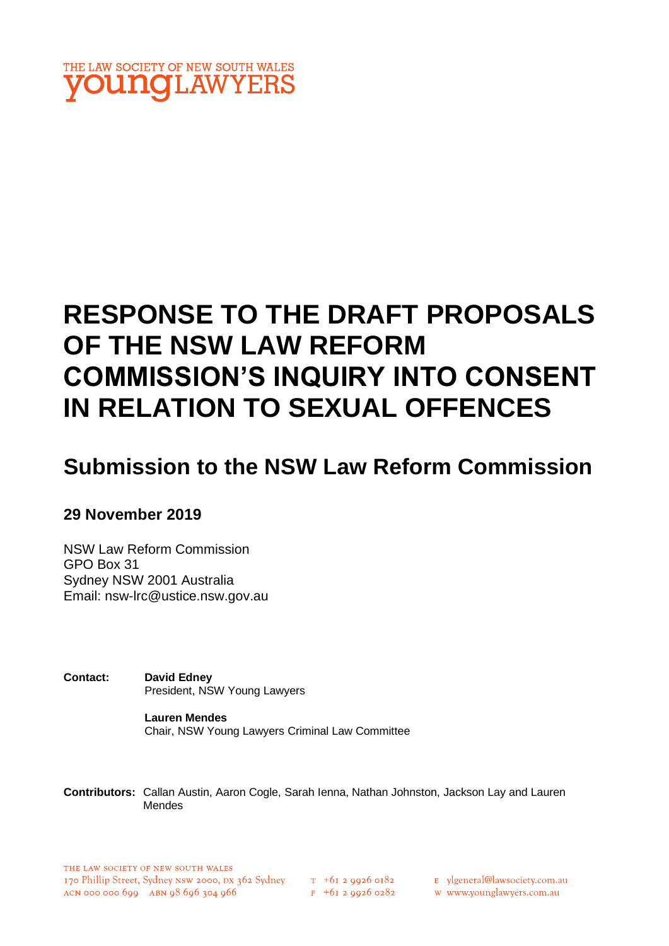

# **RESPONSE TO THE DRAFT PROPOSALS OF THE NSW LAW REFORM COMMISSION'S INQUIRY INTO CONSENT IN RELATION TO SEXUAL OFFENCES**

# **Submission to the NSW Law Reform Commission**

### **29 November 2019**

NSW Law Reform Commission GPO Box 31 Sydney NSW 2001 Australia Email: [nsw-lrc@ustice.nsw.gov.au](mailto:nsw-lrc@ustice.nsw.gov.au)

**Contact: David Edney** President, NSW Young Lawyers

> **Lauren Mendes** Chair, NSW Young Lawyers Criminal Law Committee

**Contributors:** Callan Austin, Aaron Cogle, Sarah Ienna, Nathan Johnston, Jackson Lay and Lauren Mendes

 $T_{1}$  +61 2 9926 0182  $F + 6I$  2 9926 0282 E ylgeneral@lawsociety.com.au

w www.younglawyers.com.au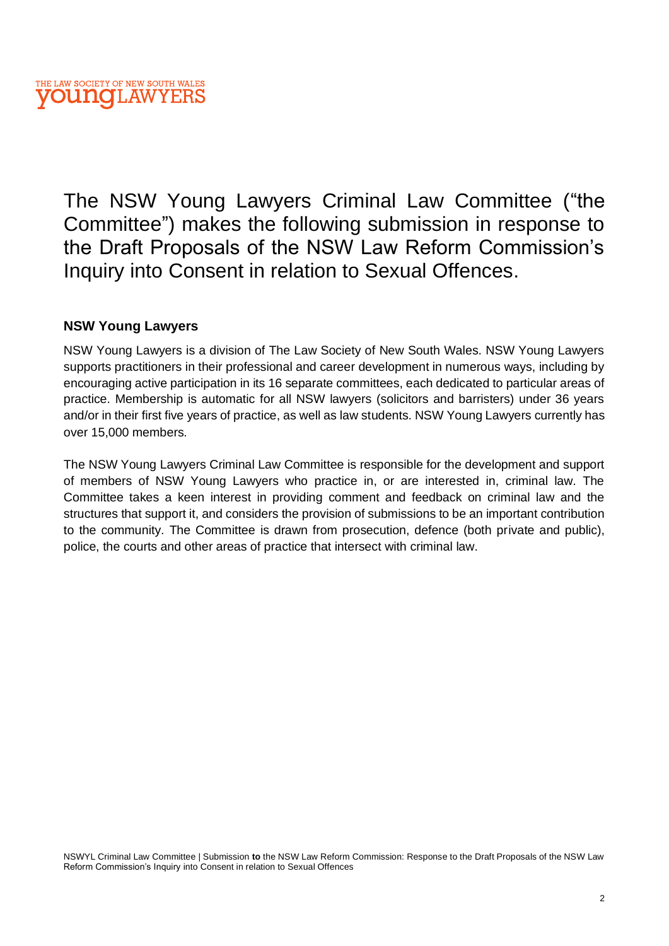The NSW Young Lawyers Criminal Law Committee ("the Committee") makes the following submission in response to the Draft Proposals of the NSW Law Reform Commission's Inquiry into Consent in relation to Sexual Offences.

#### **NSW Young Lawyers**

NSW Young Lawyers is a division of The Law Society of New South Wales. NSW Young Lawyers supports practitioners in their professional and career development in numerous ways, including by encouraging active participation in its 16 separate committees, each dedicated to particular areas of practice. Membership is automatic for all NSW lawyers (solicitors and barristers) under 36 years and/or in their first five years of practice, as well as law students. NSW Young Lawyers currently has over 15,000 members.

The NSW Young Lawyers Criminal Law Committee is responsible for the development and support of members of NSW Young Lawyers who practice in, or are interested in, criminal law. The Committee takes a keen interest in providing comment and feedback on criminal law and the structures that support it, and considers the provision of submissions to be an important contribution to the community. The Committee is drawn from prosecution, defence (both private and public), police, the courts and other areas of practice that intersect with criminal law.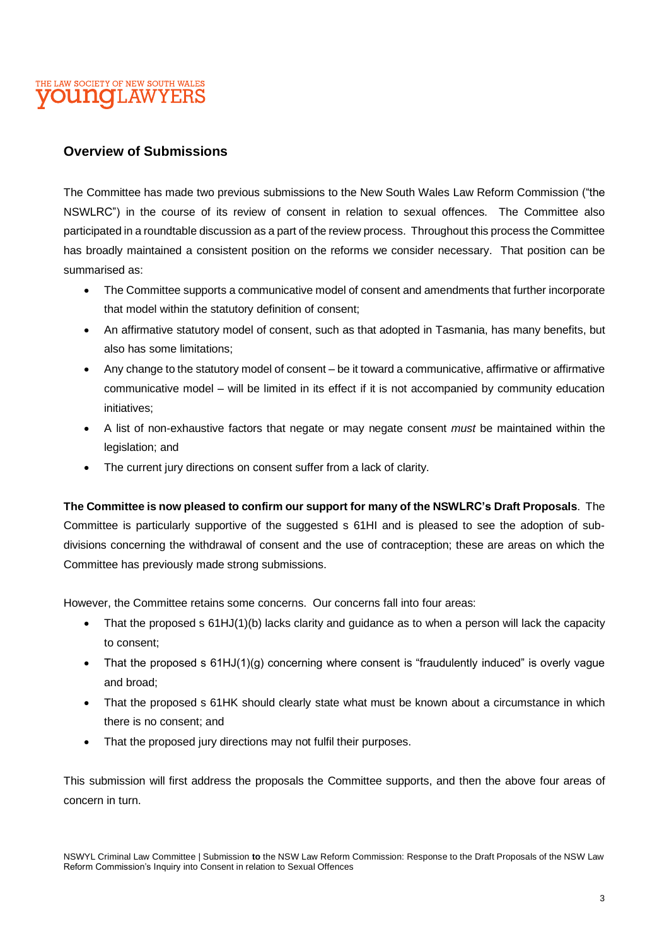#### **Overview of Submissions**

The Committee has made two previous submissions to the New South Wales Law Reform Commission ("the NSWLRC") in the course of its review of consent in relation to sexual offences. The Committee also participated in a roundtable discussion as a part of the review process. Throughout this process the Committee has broadly maintained a consistent position on the reforms we consider necessary. That position can be summarised as:

- The Committee supports a communicative model of consent and amendments that further incorporate that model within the statutory definition of consent;
- An affirmative statutory model of consent, such as that adopted in Tasmania, has many benefits, but also has some limitations;
- Any change to the statutory model of consent be it toward a communicative, affirmative or affirmative communicative model – will be limited in its effect if it is not accompanied by community education initiatives;
- A list of non-exhaustive factors that negate or may negate consent *must* be maintained within the legislation; and
- The current jury directions on consent suffer from a lack of clarity.

**The Committee is now pleased to confirm our support for many of the NSWLRC's Draft Proposals**. The Committee is particularly supportive of the suggested s 61HI and is pleased to see the adoption of subdivisions concerning the withdrawal of consent and the use of contraception; these are areas on which the Committee has previously made strong submissions.

However, the Committee retains some concerns. Our concerns fall into four areas:

- That the proposed s 61HJ(1)(b) lacks clarity and guidance as to when a person will lack the capacity to consent;
- That the proposed s 61HJ(1)(g) concerning where consent is "fraudulently induced" is overly vague and broad;
- That the proposed s 61HK should clearly state what must be known about a circumstance in which there is no consent; and
- That the proposed jury directions may not fulfil their purposes.

This submission will first address the proposals the Committee supports, and then the above four areas of concern in turn.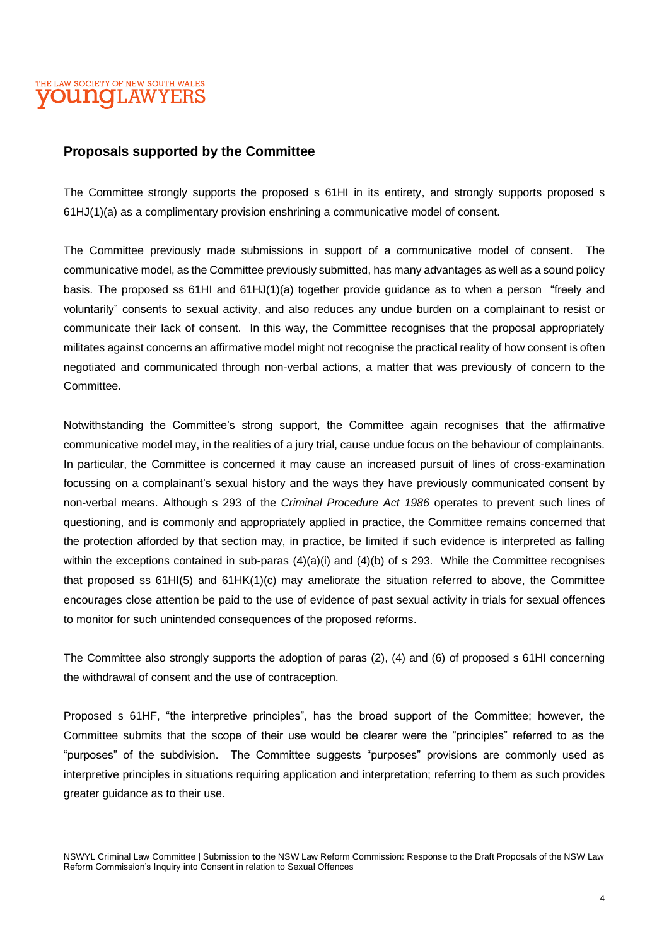#### **Proposals supported by the Committee**

The Committee strongly supports the proposed s 61HI in its entirety, and strongly supports proposed s 61HJ(1)(a) as a complimentary provision enshrining a communicative model of consent.

The Committee previously made submissions in support of a communicative model of consent. The communicative model, as the Committee previously submitted, has many advantages as well as a sound policy basis. The proposed ss 61HI and 61HJ(1)(a) together provide guidance as to when a person "freely and voluntarily" consents to sexual activity, and also reduces any undue burden on a complainant to resist or communicate their lack of consent. In this way, the Committee recognises that the proposal appropriately militates against concerns an affirmative model might not recognise the practical reality of how consent is often negotiated and communicated through non-verbal actions, a matter that was previously of concern to the Committee.

Notwithstanding the Committee's strong support, the Committee again recognises that the affirmative communicative model may, in the realities of a jury trial, cause undue focus on the behaviour of complainants. In particular, the Committee is concerned it may cause an increased pursuit of lines of cross-examination focussing on a complainant's sexual history and the ways they have previously communicated consent by non-verbal means. Although s 293 of the *Criminal Procedure Act 1986* operates to prevent such lines of questioning, and is commonly and appropriately applied in practice, the Committee remains concerned that the protection afforded by that section may, in practice, be limited if such evidence is interpreted as falling within the exceptions contained in sub-paras  $(4)(a)(i)$  and  $(4)(b)$  of s 293. While the Committee recognises that proposed ss 61HI(5) and 61HK(1)(c) may ameliorate the situation referred to above, the Committee encourages close attention be paid to the use of evidence of past sexual activity in trials for sexual offences to monitor for such unintended consequences of the proposed reforms.

The Committee also strongly supports the adoption of paras (2), (4) and (6) of proposed s 61HI concerning the withdrawal of consent and the use of contraception.

Proposed s 61HF, "the interpretive principles", has the broad support of the Committee; however, the Committee submits that the scope of their use would be clearer were the "principles" referred to as the "purposes" of the subdivision. The Committee suggests "purposes" provisions are commonly used as interpretive principles in situations requiring application and interpretation; referring to them as such provides greater guidance as to their use.

NSWYL Criminal Law Committee | Submission **to** the NSW Law Reform Commission: Response to the Draft Proposals of the NSW Law Reform Commission's Inquiry into Consent in relation to Sexual Offences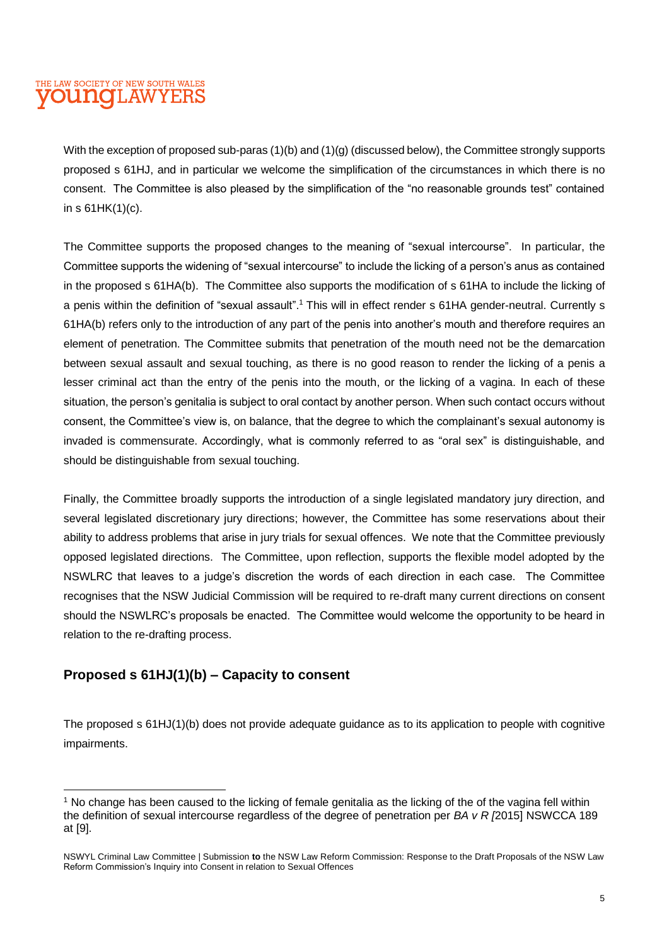With the exception of proposed sub-paras (1)(b) and (1)(g) (discussed below), the Committee strongly supports proposed s 61HJ, and in particular we welcome the simplification of the circumstances in which there is no consent. The Committee is also pleased by the simplification of the "no reasonable grounds test" contained in s 61HK(1)(c).

The Committee supports the proposed changes to the meaning of "sexual intercourse". In particular, the Committee supports the widening of "sexual intercourse" to include the licking of a person's anus as contained in the proposed s 61HA(b). The Committee also supports the modification of s 61HA to include the licking of a penis within the definition of "sexual assault".<sup>1</sup> This will in effect render s 61HA gender-neutral. Currently s 61HA(b) refers only to the introduction of any part of the penis into another's mouth and therefore requires an element of penetration. The Committee submits that penetration of the mouth need not be the demarcation between sexual assault and sexual touching, as there is no good reason to render the licking of a penis a lesser criminal act than the entry of the penis into the mouth, or the licking of a vagina. In each of these situation, the person's genitalia is subject to oral contact by another person. When such contact occurs without consent, the Committee's view is, on balance, that the degree to which the complainant's sexual autonomy is invaded is commensurate. Accordingly, what is commonly referred to as "oral sex" is distinguishable, and should be distinguishable from sexual touching.

Finally, the Committee broadly supports the introduction of a single legislated mandatory jury direction, and several legislated discretionary jury directions; however, the Committee has some reservations about their ability to address problems that arise in jury trials for sexual offences. We note that the Committee previously opposed legislated directions. The Committee, upon reflection, supports the flexible model adopted by the NSWLRC that leaves to a judge's discretion the words of each direction in each case. The Committee recognises that the NSW Judicial Commission will be required to re-draft many current directions on consent should the NSWLRC's proposals be enacted. The Committee would welcome the opportunity to be heard in relation to the re-drafting process.

#### **Proposed s 61HJ(1)(b) – Capacity to consent**

The proposed s 61HJ(1)(b) does not provide adequate guidance as to its application to people with cognitive impairments.

<sup>1</sup> No change has been caused to the licking of female genitalia as the licking of the of the vagina fell within the definition of sexual intercourse regardless of the degree of penetration per *BA v R [*2015] NSWCCA 189 at [9].

NSWYL Criminal Law Committee | Submission **to** the NSW Law Reform Commission: Response to the Draft Proposals of the NSW Law Reform Commission's Inquiry into Consent in relation to Sexual Offences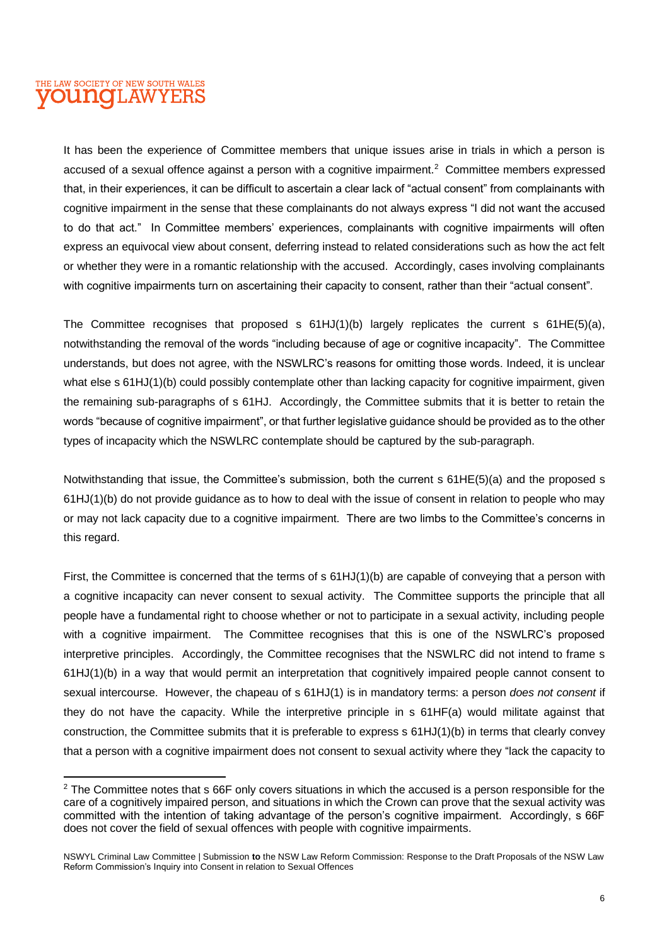It has been the experience of Committee members that unique issues arise in trials in which a person is accused of a sexual offence against a person with a cognitive impairment.<sup>2</sup> Committee members expressed that, in their experiences, it can be difficult to ascertain a clear lack of "actual consent" from complainants with cognitive impairment in the sense that these complainants do not always express "I did not want the accused to do that act." In Committee members' experiences, complainants with cognitive impairments will often express an equivocal view about consent, deferring instead to related considerations such as how the act felt or whether they were in a romantic relationship with the accused. Accordingly, cases involving complainants with cognitive impairments turn on ascertaining their capacity to consent, rather than their "actual consent".

The Committee recognises that proposed s 61HJ(1)(b) largely replicates the current s 61HE(5)(a), notwithstanding the removal of the words "including because of age or cognitive incapacity". The Committee understands, but does not agree, with the NSWLRC's reasons for omitting those words. Indeed, it is unclear what else s 61HJ(1)(b) could possibly contemplate other than lacking capacity for cognitive impairment, given the remaining sub-paragraphs of s 61HJ. Accordingly, the Committee submits that it is better to retain the words "because of cognitive impairment", or that further legislative guidance should be provided as to the other types of incapacity which the NSWLRC contemplate should be captured by the sub-paragraph.

Notwithstanding that issue, the Committee's submission, both the current s 61HE(5)(a) and the proposed s 61HJ(1)(b) do not provide guidance as to how to deal with the issue of consent in relation to people who may or may not lack capacity due to a cognitive impairment. There are two limbs to the Committee's concerns in this regard.

First, the Committee is concerned that the terms of s 61HJ(1)(b) are capable of conveying that a person with a cognitive incapacity can never consent to sexual activity. The Committee supports the principle that all people have a fundamental right to choose whether or not to participate in a sexual activity, including people with a cognitive impairment. The Committee recognises that this is one of the NSWLRC's proposed interpretive principles. Accordingly, the Committee recognises that the NSWLRC did not intend to frame s 61HJ(1)(b) in a way that would permit an interpretation that cognitively impaired people cannot consent to sexual intercourse. However, the chapeau of s 61HJ(1) is in mandatory terms: a person *does not consent* if they do not have the capacity. While the interpretive principle in s 61HF(a) would militate against that construction, the Committee submits that it is preferable to express s 61HJ(1)(b) in terms that clearly convey that a person with a cognitive impairment does not consent to sexual activity where they "lack the capacity to

<sup>&</sup>lt;sup>2</sup> The Committee notes that s 66F only covers situations in which the accused is a person responsible for the care of a cognitively impaired person, and situations in which the Crown can prove that the sexual activity was committed with the intention of taking advantage of the person's cognitive impairment. Accordingly, s 66F does not cover the field of sexual offences with people with cognitive impairments.

NSWYL Criminal Law Committee | Submission **to** the NSW Law Reform Commission: Response to the Draft Proposals of the NSW Law Reform Commission's Inquiry into Consent in relation to Sexual Offences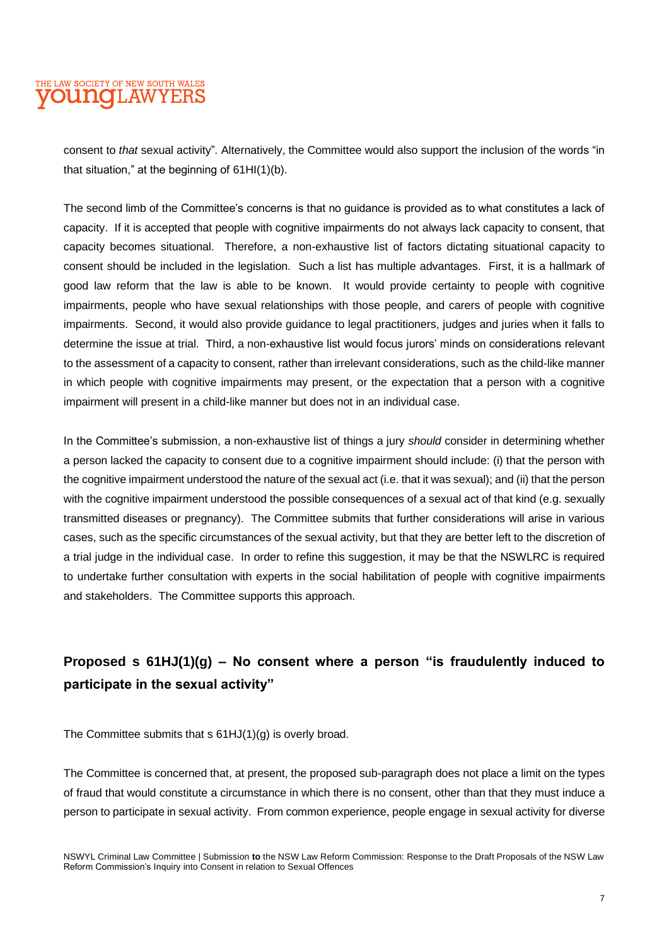consent to *that* sexual activity". Alternatively, the Committee would also support the inclusion of the words "in that situation," at the beginning of 61HI(1)(b).

The second limb of the Committee's concerns is that no guidance is provided as to what constitutes a lack of capacity. If it is accepted that people with cognitive impairments do not always lack capacity to consent, that capacity becomes situational. Therefore, a non-exhaustive list of factors dictating situational capacity to consent should be included in the legislation. Such a list has multiple advantages. First, it is a hallmark of good law reform that the law is able to be known. It would provide certainty to people with cognitive impairments, people who have sexual relationships with those people, and carers of people with cognitive impairments. Second, it would also provide guidance to legal practitioners, judges and juries when it falls to determine the issue at trial. Third, a non-exhaustive list would focus jurors' minds on considerations relevant to the assessment of a capacity to consent, rather than irrelevant considerations, such as the child-like manner in which people with cognitive impairments may present, or the expectation that a person with a cognitive impairment will present in a child-like manner but does not in an individual case.

In the Committee's submission, a non-exhaustive list of things a jury *should* consider in determining whether a person lacked the capacity to consent due to a cognitive impairment should include: (i) that the person with the cognitive impairment understood the nature of the sexual act (i.e. that it was sexual); and (ii) that the person with the cognitive impairment understood the possible consequences of a sexual act of that kind (e.g. sexually transmitted diseases or pregnancy). The Committee submits that further considerations will arise in various cases, such as the specific circumstances of the sexual activity, but that they are better left to the discretion of a trial judge in the individual case. In order to refine this suggestion, it may be that the NSWLRC is required to undertake further consultation with experts in the social habilitation of people with cognitive impairments and stakeholders. The Committee supports this approach.

## **Proposed s 61HJ(1)(g) – No consent where a person "is fraudulently induced to participate in the sexual activity"**

The Committee submits that s 61HJ(1)(g) is overly broad.

The Committee is concerned that, at present, the proposed sub-paragraph does not place a limit on the types of fraud that would constitute a circumstance in which there is no consent, other than that they must induce a person to participate in sexual activity. From common experience, people engage in sexual activity for diverse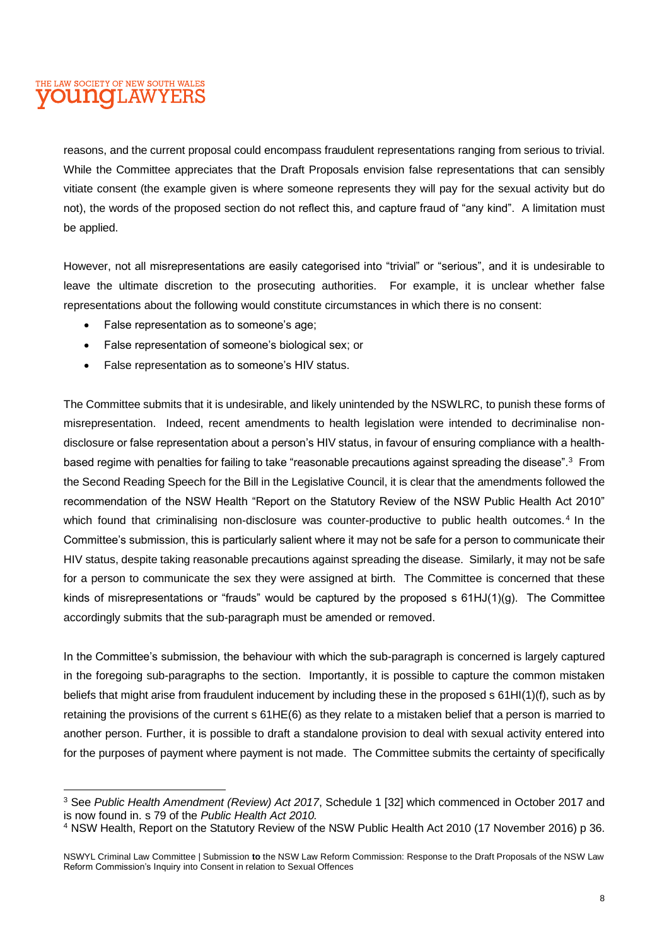reasons, and the current proposal could encompass fraudulent representations ranging from serious to trivial. While the Committee appreciates that the Draft Proposals envision false representations that can sensibly vitiate consent (the example given is where someone represents they will pay for the sexual activity but do not), the words of the proposed section do not reflect this, and capture fraud of "any kind". A limitation must be applied.

However, not all misrepresentations are easily categorised into "trivial" or "serious", and it is undesirable to leave the ultimate discretion to the prosecuting authorities. For example, it is unclear whether false representations about the following would constitute circumstances in which there is no consent:

- False representation as to someone's age;
- False representation of someone's biological sex; or
- False representation as to someone's HIV status.

The Committee submits that it is undesirable, and likely unintended by the NSWLRC, to punish these forms of misrepresentation. Indeed, recent amendments to health legislation were intended to decriminalise nondisclosure or false representation about a person's HIV status, in favour of ensuring compliance with a healthbased regime with penalties for failing to take "reasonable precautions against spreading the disease".<sup>3</sup> From the Second Reading Speech for the Bill in the Legislative Council, it is clear that the amendments followed the recommendation of the NSW Health "Report on the Statutory Review of the NSW Public Health Act 2010" which found that criminalising non-disclosure was counter-productive to public health outcomes.<sup>4</sup> In the Committee's submission, this is particularly salient where it may not be safe for a person to communicate their HIV status, despite taking reasonable precautions against spreading the disease. Similarly, it may not be safe for a person to communicate the sex they were assigned at birth. The Committee is concerned that these kinds of misrepresentations or "frauds" would be captured by the proposed s  $61HJ(1)(q)$ . The Committee accordingly submits that the sub-paragraph must be amended or removed.

In the Committee's submission, the behaviour with which the sub-paragraph is concerned is largely captured in the foregoing sub-paragraphs to the section. Importantly, it is possible to capture the common mistaken beliefs that might arise from fraudulent inducement by including these in the proposed s 61HI(1)(f), such as by retaining the provisions of the current s 61HE(6) as they relate to a mistaken belief that a person is married to another person. Further, it is possible to draft a standalone provision to deal with sexual activity entered into for the purposes of payment where payment is not made. The Committee submits the certainty of specifically

<sup>3</sup> See *Public Health Amendment (Review) Act 2017*, Schedule 1 [32] which commenced in October 2017 and is now found in. s 79 of the *Public Health Act 2010.* 

<sup>4</sup> NSW Health, Report on the Statutory Review of the NSW Public Health Act 2010 (17 November 2016) p 36.

NSWYL Criminal Law Committee | Submission **to** the NSW Law Reform Commission: Response to the Draft Proposals of the NSW Law Reform Commission's Inquiry into Consent in relation to Sexual Offences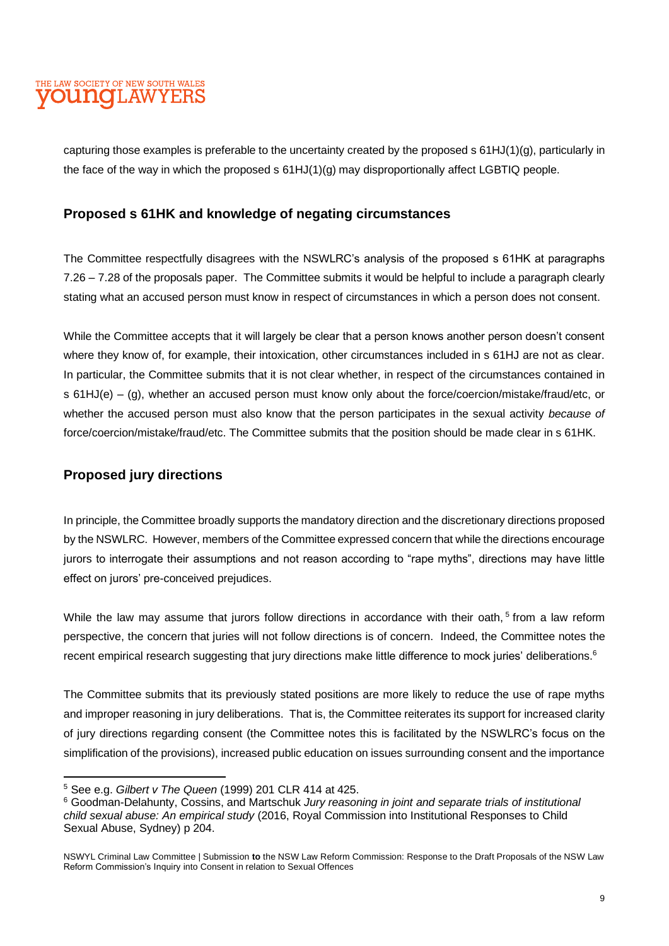capturing those examples is preferable to the uncertainty created by the proposed s 61HJ(1)(g), particularly in the face of the way in which the proposed s 61HJ(1)(g) may disproportionally affect LGBTIQ people.

#### **Proposed s 61HK and knowledge of negating circumstances**

The Committee respectfully disagrees with the NSWLRC's analysis of the proposed s 61HK at paragraphs 7.26 – 7.28 of the proposals paper. The Committee submits it would be helpful to include a paragraph clearly stating what an accused person must know in respect of circumstances in which a person does not consent.

While the Committee accepts that it will largely be clear that a person knows another person doesn't consent where they know of, for example, their intoxication, other circumstances included in s 61HJ are not as clear. In particular, the Committee submits that it is not clear whether, in respect of the circumstances contained in s 61HJ(e) – (g), whether an accused person must know only about the force/coercion/mistake/fraud/etc, or whether the accused person must also know that the person participates in the sexual activity *because of*  force/coercion/mistake/fraud/etc. The Committee submits that the position should be made clear in s 61HK.

#### **Proposed jury directions**

In principle, the Committee broadly supports the mandatory direction and the discretionary directions proposed by the NSWLRC. However, members of the Committee expressed concern that while the directions encourage jurors to interrogate their assumptions and not reason according to "rape myths", directions may have little effect on jurors' pre-conceived prejudices.

While the law may assume that jurors follow directions in accordance with their oath, <sup>5</sup> from a law reform perspective, the concern that juries will not follow directions is of concern. Indeed, the Committee notes the recent empirical research suggesting that jury directions make little difference to mock juries' deliberations.<sup>6</sup>

The Committee submits that its previously stated positions are more likely to reduce the use of rape myths and improper reasoning in jury deliberations. That is, the Committee reiterates its support for increased clarity of jury directions regarding consent (the Committee notes this is facilitated by the NSWLRC's focus on the simplification of the provisions), increased public education on issues surrounding consent and the importance

<sup>5</sup> See e.g. *Gilbert v The Queen* (1999) 201 CLR 414 at 425.

<sup>6</sup> Goodman-Delahunty, Cossins, and Martschuk *Jury reasoning in joint and separate trials of institutional child sexual abuse: An empirical study* (2016, Royal Commission into Institutional Responses to Child Sexual Abuse, Sydney) p 204.

NSWYL Criminal Law Committee | Submission **to** the NSW Law Reform Commission: Response to the Draft Proposals of the NSW Law Reform Commission's Inquiry into Consent in relation to Sexual Offences